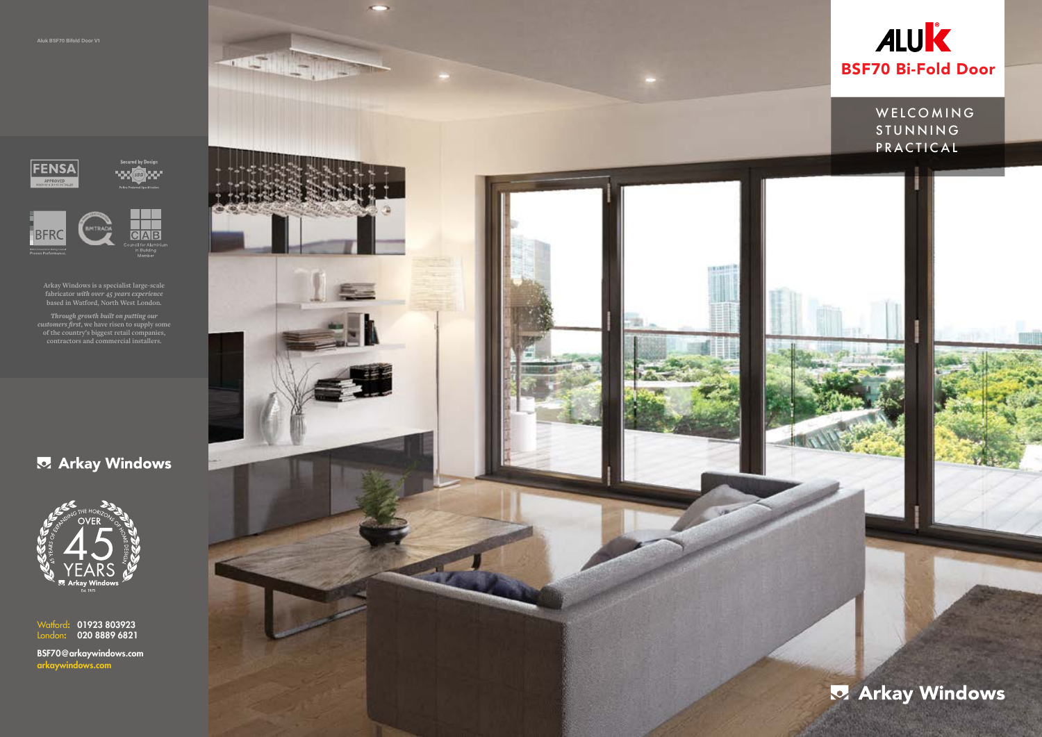



**Arkay Windows is a specialist large-scale fabricator** *with over 45 years experience* **based in Watford, North West London.**

*Through growth built on putting our customers first***, we have risen to supply some of the country's biggest retail companies, contractors and commercial installers.**

# **Z** Arkay Windows



01923 803923 020 8889 6821 Watford: London:

arkaywindows.com BSF70@arkaywindows.com